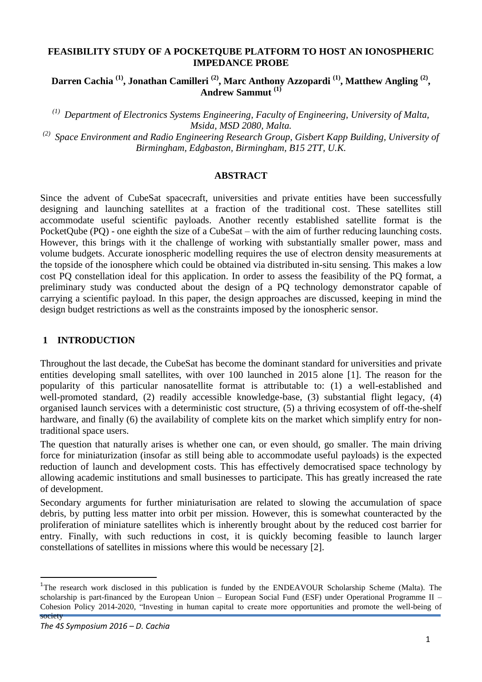#### **FEASIBILITY STUDY OF A POCKETQUBE PLATFORM TO HOST AN IONOSPHERIC IMPEDANCE PROBE**

**Darren Cachia (1) , Jonathan Camilleri (2) , Marc Anthony Azzopardi (1) , Matthew Angling (2) , Andrew Sammut (1)**

*(1) Department of Electronics Systems Engineering, Faculty of Engineering, University of Malta, Msida, MSD 2080, Malta.*

*(2) Space Environment and Radio Engineering Research Group, Gisbert Kapp Building, University of Birmingham, Edgbaston, Birmingham, B15 2TT, U.K.*

#### **ABSTRACT**

Since the advent of CubeSat spacecraft, universities and private entities have been successfully designing and launching satellites at a fraction of the traditional cost. These satellites still accommodate useful scientific payloads. Another recently established satellite format is the PocketQube (PQ) - one eighth the size of a CubeSat – with the aim of further reducing launching costs. However, this brings with it the challenge of working with substantially smaller power, mass and volume budgets. Accurate ionospheric modelling requires the use of electron density measurements at the topside of the ionosphere which could be obtained via distributed in-situ sensing. This makes a low cost PQ constellation ideal for this application. In order to assess the feasibility of the PQ format, a preliminary study was conducted about the design of a PQ technology demonstrator capable of carrying a scientific payload. In this paper, the design approaches are discussed, keeping in mind the design budget restrictions as well as the constraints imposed by the ionospheric sensor.

### **1 INTRODUCTION<sup>1</sup>**

Throughout the last decade, the CubeSat has become the dominant standard for universities and private entities developing small satellites, with over 100 launched in 2015 alone [1]. The reason for the popularity of this particular nanosatellite format is attributable to: (1) a well-established and well-promoted standard, (2) readily accessible knowledge-base, (3) substantial flight legacy, (4) organised launch services with a deterministic cost structure, (5) a thriving ecosystem of off-the-shelf hardware, and finally (6) the availability of complete kits on the market which simplify entry for nontraditional space users.

The question that naturally arises is whether one can, or even should, go smaller. The main driving force for miniaturization (insofar as still being able to accommodate useful payloads) is the expected reduction of launch and development costs. This has effectively democratised space technology by allowing academic institutions and small businesses to participate. This has greatly increased the rate of development.

Secondary arguments for further miniaturisation are related to slowing the accumulation of space debris, by putting less matter into orbit per mission. However, this is somewhat counteracted by the proliferation of miniature satellites which is inherently brought about by the reduced cost barrier for entry. Finally, with such reductions in cost, it is quickly becoming feasible to launch larger constellations of satellites in missions where this would be necessary [2].

 $\ddot{\phantom{a}}$ 

society

<sup>&</sup>lt;sup>1</sup>The research work disclosed in this publication is funded by the ENDEAVOUR Scholarship Scheme (Malta). The scholarship is part-financed by the European Union – European Social Fund (ESF) under Operational Programme  $II$  – Cohesion Policy 2014-2020, "Investing in human capital to create more opportunities and promote the well-being of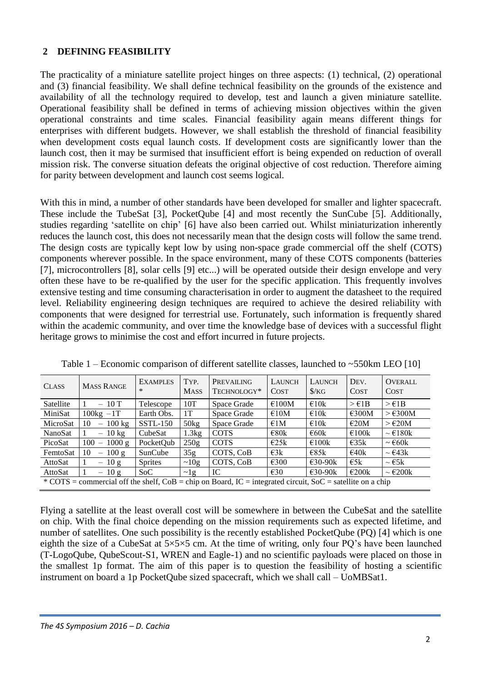## **2 DEFINING FEASIBILITY**

The practicality of a miniature satellite project hinges on three aspects: (1) technical, (2) operational and (3) financial feasibility. We shall define technical feasibility on the grounds of the existence and availability of all the technology required to develop, test and launch a given miniature satellite. Operational feasibility shall be defined in terms of achieving mission objectives within the given operational constraints and time scales. Financial feasibility again means different things for enterprises with different budgets. However, we shall establish the threshold of financial feasibility when development costs equal launch costs. If development costs are significantly lower than the launch cost, then it may be surmised that insufficient effort is being expended on reduction of overall mission risk. The converse situation defeats the original objective of cost reduction. Therefore aiming for parity between development and launch cost seems logical.

With this in mind, a number of other standards have been developed for smaller and lighter spacecraft. These include the TubeSat [3], PocketQube [4] and most recently the SunCube [5]. Additionally, studies regarding "satellite on chip" [6] have also been carried out. Whilst miniaturization inherently reduces the launch cost, this does not necessarily mean that the design costs will follow the same trend. The design costs are typically kept low by using non-space grade commercial off the shelf (COTS) components wherever possible. In the space environment, many of these COTS components (batteries [7], microcontrollers [8], solar cells [9] etc...) will be operated outside their design envelope and very often these have to be re-qualified by the user for the specific application. This frequently involves extensive testing and time consuming characterisation in order to augment the datasheet to the required level. Reliability engineering design techniques are required to achieve the desired reliability with components that were designed for terrestrial use. Fortunately, such information is frequently shared within the academic community, and over time the knowledge base of devices with a successful flight heritage grows to minimise the cost and effort incurred in future projects.

| <b>CLASS</b>                                                                                                 | <b>MASS RANGE</b>                         | <b>EXAMPLES</b><br>$\ast$ | TYP.<br><b>MASS</b> | PREVAILING<br>TECHNOLOGY* | LAUNCH<br><b>COST</b> | LAUNCH<br>$\frac{\text{K}}{\text{G}}$ | DEV.<br><b>COST</b> | <b>OVERALL</b><br><b>COST</b>   |
|--------------------------------------------------------------------------------------------------------------|-------------------------------------------|---------------------------|---------------------|---------------------------|-----------------------|---------------------------------------|---------------------|---------------------------------|
| Satellite                                                                                                    | $-10T$                                    | Telescope                 | 10T                 | Space Grade               | €100M                 | €10k                                  | $>\epsilon$ 1B      | $>\epsilon$ 1B                  |
| MiniSat                                                                                                      | $100\text{kg} - 1T$                       | Earth Obs.                | 1T                  | Space Grade               | €10M                  | $\epsilon$ 10k                        | $\epsilon$ 300M     | $>\epsilon$ 300M                |
| MicroSat                                                                                                     | $100 \text{ kg}$<br>10                    | <b>SSTL-150</b>           | 50kg                | Space Grade               | $\epsilon$ 1M         | $\epsilon$ 10k                        | $\epsilon$ 20M      | $>\epsilon$ 20M                 |
| NanoSat                                                                                                      | $-10 \text{ kg}$                          | CubeSat                   | 1.3kg               | <b>COTS</b>               | $\epsilon$ 80k        | $\epsilon$ 60k                        | $\epsilon$ 100k     | $\sim \text{E}180k$             |
| PicoSat                                                                                                      | 1000 g<br>100<br>$\overline{\phantom{a}}$ | PocketOub                 | 250g                | <b>COTS</b>               | $\epsilon$ 25k        | $\epsilon$ 100k                       | E35k                | $\sim \text{\e}60k$             |
| FemtoSat                                                                                                     | 100g<br>10<br>$\qquad \qquad -$           | SunCube                   | 35 <sub>g</sub>     | COTS, CoB                 | $\epsilon$ 3k         | E85k                                  | $\epsilon$ 40k      | $\sim \text{E43k}$              |
| AttoSat                                                                                                      | $-10 g$                                   | <b>Sprites</b>            | $\sim 10g$          | COTS, CoB                 | $\epsilon$ 300        | $€30-90k$                             | $\epsilon$ 5k       | $\sim \text{E5k}$               |
| AttoSat                                                                                                      | $-10g$                                    | SoC                       | $\sim$ 1g           | IC                        | $\epsilon$ 30         | $\epsilon$ 30-90 $k$                  | $\epsilon$ 200 $k$  | $\sim \text{\textsterling}200k$ |
| * COTS = commercial off the shelf, $CoB = chip$ on Board, IC = integrated circuit, SoC = satellite on a chip |                                           |                           |                     |                           |                       |                                       |                     |                                 |

Table  $1$  – Economic comparison of different satellite classes, launched to  $\sim$  550km LEO [10]

Flying a satellite at the least overall cost will be somewhere in between the CubeSat and the satellite on chip. With the final choice depending on the mission requirements such as expected lifetime, and number of satellites. One such possibility is the recently established PocketQube (PQ) [4] which is one eighth the size of a CubeSat at 5×5×5 cm. At the time of writing, only four PQ"s have been launched (T-LogoQube, QubeScout-S1, WREN and Eagle-1) and no scientific payloads were placed on those in the smallest 1p format. The aim of this paper is to question the feasibility of hosting a scientific instrument on board a 1p PocketQube sized spacecraft, which we shall call – UoMBSat1.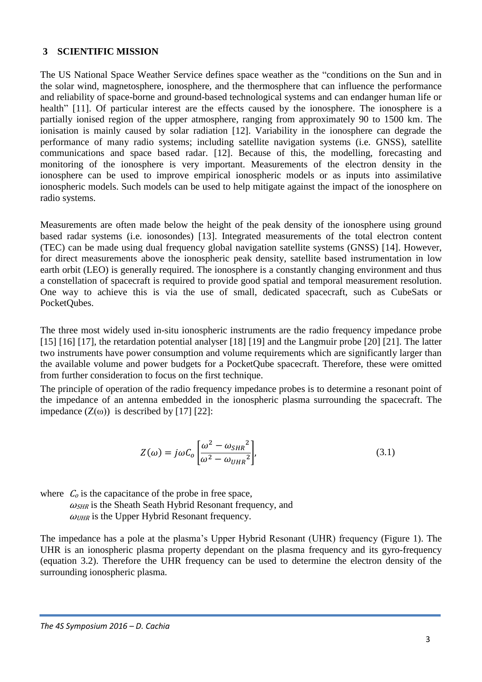#### **3 SCIENTIFIC MISSION**

The US National Space Weather Service defines space weather as the "conditions on the Sun and in the solar wind, magnetosphere, ionosphere, and the thermosphere that can influence the performance and reliability of space-borne and ground-based technological systems and can endanger human life or health" [11]. Of particular interest are the effects caused by the ionosphere. The ionosphere is a partially ionised region of the upper atmosphere, ranging from approximately 90 to 1500 km. The ionisation is mainly caused by solar radiation [12]. Variability in the ionosphere can degrade the performance of many radio systems; including satellite navigation systems (i.e. GNSS), satellite communications and space based radar. [12]. Because of this, the modelling, forecasting and monitoring of the ionosphere is very important. Measurements of the electron density in the ionosphere can be used to improve empirical ionospheric models or as inputs into assimilative ionospheric models. Such models can be used to help mitigate against the impact of the ionosphere on radio systems.

Measurements are often made below the height of the peak density of the ionosphere using ground based radar systems (i.e. ionosondes) [13]. Integrated measurements of the total electron content (TEC) can be made using dual frequency global navigation satellite systems (GNSS) [14]. However, for direct measurements above the ionospheric peak density, satellite based instrumentation in low earth orbit (LEO) is generally required. The ionosphere is a constantly changing environment and thus a constellation of spacecraft is required to provide good spatial and temporal measurement resolution. One way to achieve this is via the use of small, dedicated spacecraft, such as CubeSats or PocketQubes.

The three most widely used in-situ ionospheric instruments are the radio frequency impedance probe [15] [16] [17], the retardation potential analyser [18] [19] and the Langmuir probe [20] [21]. The latter two instruments have power consumption and volume requirements which are significantly larger than the available volume and power budgets for a PocketQube spacecraft. Therefore, these were omitted from further consideration to focus on the first technique.

The principle of operation of the radio frequency impedance probes is to determine a resonant point of the impedance of an antenna embedded in the ionospheric plasma surrounding the spacecraft. The impedance  $(Z(\omega))$  is described by [17] [22]:

$$
Z(\omega) = j\omega C_o \left[ \frac{\omega^2 - \omega_{SHR}^2}{\omega^2 - \omega_{UHR}^2} \right],
$$
\n(3.1)

where  $C<sub>o</sub>$  is the capacitance of the probe in free space,  $\omega$ <sub>SHR</sub> is the Sheath Seath Hybrid Resonant frequency, and  $\omega_{UHR}$  is the Upper Hybrid Resonant frequency.

The impedance has a pole at the plasma"s Upper Hybrid Resonant (UHR) frequency [\(Figure 1\)](#page-3-0). The UHR is an ionospheric plasma property dependant on the plasma frequency and its gyro-frequency (equation 3.2). Therefore the UHR frequency can be used to determine the electron density of the surrounding ionospheric plasma.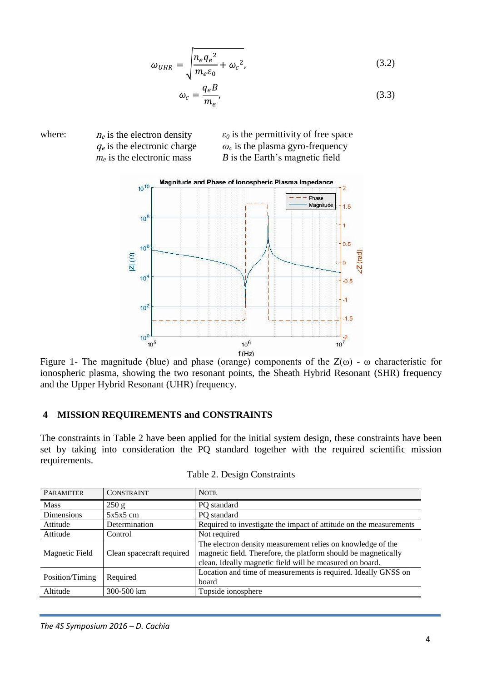$$
\omega_{UHR} = \sqrt{\frac{n_e q_e^2}{m_e \varepsilon_0} + \omega_c^2},\tag{3.2}
$$

$$
\omega_c = \frac{q_e B}{m_e},\tag{3.3}
$$





<span id="page-3-0"></span>Figure 1- The magnitude (blue) and phase (orange) components of the  $Z(\omega)$  -  $\omega$  characteristic for ionospheric plasma, showing the two resonant points, the Sheath Hybrid Resonant (SHR) frequency and the Upper Hybrid Resonant (UHR) frequency.

#### <span id="page-3-1"></span>**4 MISSION REQUIREMENTS and CONSTRAINTS**

The constraints in Table 2 have been applied for the initial system design, these constraints have been set by taking into consideration the PQ standard together with the required scientific mission requirements.

| <b>PARAMETER</b>            | <b>CONSTRAINT</b>         | <b>NOTE</b>                                                                                                                                                                               |
|-----------------------------|---------------------------|-------------------------------------------------------------------------------------------------------------------------------------------------------------------------------------------|
| <b>Mass</b>                 | 250 g                     | PQ standard                                                                                                                                                                               |
| <b>Dimensions</b>           | $5x5x5$ cm                | PQ standard                                                                                                                                                                               |
| Attitude                    | Determination             | Required to investigate the impact of attitude on the measurements                                                                                                                        |
| Attitude                    | Control                   | Not required                                                                                                                                                                              |
| Magnetic Field              | Clean spacecraft required | The electron density measurement relies on knowledge of the<br>magnetic field. Therefore, the platform should be magnetically<br>clean. Ideally magnetic field will be measured on board. |
| Required<br>Position/Timing |                           | Location and time of measurements is required. Ideally GNSS on<br>board                                                                                                                   |
| Altitude                    | 300-500 km                | Topside ionosphere                                                                                                                                                                        |

|  |  | Table 2. Design Constraints |
|--|--|-----------------------------|
|--|--|-----------------------------|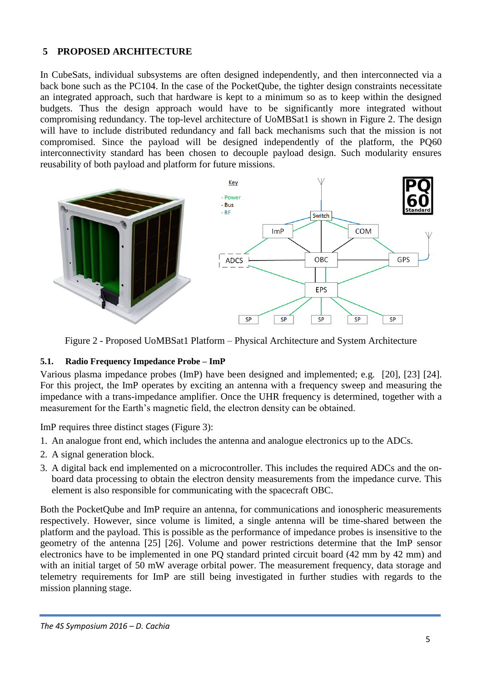# **5 PROPOSED ARCHITECTURE**

In CubeSats, individual subsystems are often designed independently, and then interconnected via a back bone such as the PC104. In the case of the PocketQube, the tighter design constraints necessitate an integrated approach, such that hardware is kept to a minimum so as to keep within the designed budgets. Thus the design approach would have to be significantly more integrated without compromising redundancy. The top-level architecture of UoMBSat1 is shown in Figure 2. The design will have to include distributed redundancy and fall back mechanisms such that the mission is not compromised. Since the payload will be designed independently of the platform, the PQ60 interconnectivity standard has been chosen to decouple payload design. Such modularity ensures reusability of both payload and platform for future missions.



Figure 2 - Proposed UoMBSat1 Platform – Physical Architecture and System Architecture

### **5.1. Radio Frequency Impedance Probe – ImP**

Various plasma impedance probes (ImP) have been designed and implemented; e.g. [20], [23] [24]. For this project, the ImP operates by exciting an antenna with a frequency sweep and measuring the impedance with a trans-impedance amplifier. Once the UHR frequency is determined, together with a measurement for the Earth"s magnetic field, the electron density can be obtained.

ImP requires three distinct stages (Figure 3):

- 1. An analogue front end, which includes the antenna and analogue electronics up to the ADCs.
- 2. A signal generation block.
- 3. A digital back end implemented on a microcontroller. This includes the required ADCs and the onboard data processing to obtain the electron density measurements from the impedance curve. This element is also responsible for communicating with the spacecraft OBC.

Both the PocketQube and ImP require an antenna, for communications and ionospheric measurements respectively. However, since volume is limited, a single antenna will be time-shared between the platform and the payload. This is possible as the performance of impedance probes is insensitive to the geometry of the antenna [25] [26]. Volume and power restrictions determine that the ImP sensor electronics have to be implemented in one PQ standard printed circuit board (42 mm by 42 mm) and with an initial target of 50 mW average orbital power. The measurement frequency, data storage and telemetry requirements for ImP are still being investigated in further studies with regards to the mission planning stage.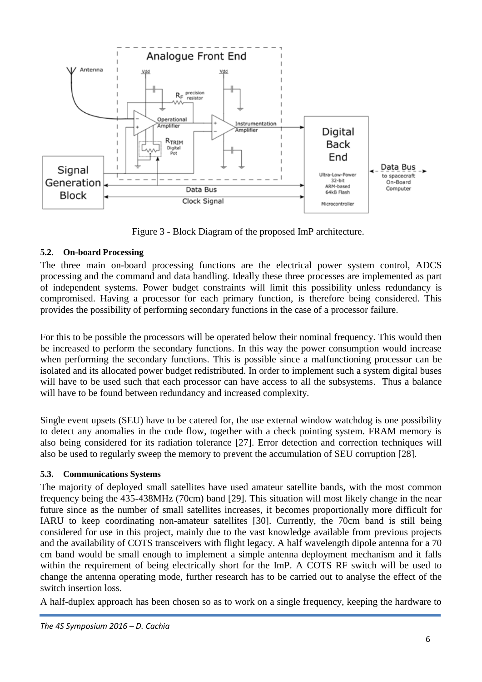

Figure 3 - Block Diagram of the proposed ImP architecture.

## **5.2. On-board Processing**

The three main on-board processing functions are the electrical power system control, ADCS processing and the command and data handling. Ideally these three processes are implemented as part of independent systems. Power budget constraints will limit this possibility unless redundancy is compromised. Having a processor for each primary function, is therefore being considered. This provides the possibility of performing secondary functions in the case of a processor failure.

For this to be possible the processors will be operated below their nominal frequency. This would then be increased to perform the secondary functions. In this way the power consumption would increase when performing the secondary functions. This is possible since a malfunctioning processor can be isolated and its allocated power budget redistributed. In order to implement such a system digital buses will have to be used such that each processor can have access to all the subsystems. Thus a balance will have to be found between redundancy and increased complexity.

Single event upsets (SEU) have to be catered for, the use external window watchdog is one possibility to detect any anomalies in the code flow, together with a check pointing system. FRAM memory is also being considered for its radiation tolerance [27]. Error detection and correction techniques will also be used to regularly sweep the memory to prevent the accumulation of SEU corruption [28].

### **5.3. Communications Systems**

The majority of deployed small satellites have used amateur satellite bands, with the most common frequency being the 435-438MHz (70cm) band [29]. This situation will most likely change in the near future since as the number of small satellites increases, it becomes proportionally more difficult for IARU to keep coordinating non-amateur satellites [30]. Currently, the 70cm band is still being considered for use in this project, mainly due to the vast knowledge available from previous projects and the availability of COTS transceivers with flight legacy. A half wavelength dipole antenna for a 70 cm band would be small enough to implement a simple antenna deployment mechanism and it falls within the requirement of being electrically short for the ImP. A COTS RF switch will be used to change the antenna operating mode, further research has to be carried out to analyse the effect of the switch insertion loss.

A half-duplex approach has been chosen so as to work on a single frequency, keeping the hardware to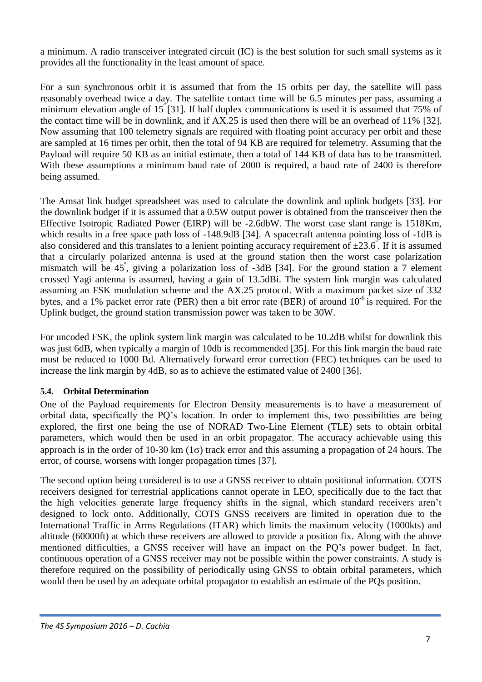a minimum. A radio transceiver integrated circuit (IC) is the best solution for such small systems as it provides all the functionality in the least amount of space.

For a sun synchronous orbit it is assumed that from the 15 orbits per day, the satellite will pass reasonably overhead twice a day. The satellite contact time will be 6.5 minutes per pass, assuming a minimum elevation angle of  $15^{\degree}$ [31]. If half duplex communications is used it is assumed that 75% of the contact time will be in downlink, and if AX.25 is used then there will be an overhead of 11% [32]. Now assuming that 100 telemetry signals are required with floating point accuracy per orbit and these are sampled at 16 times per orbit, then the total of 94 KB are required for telemetry. Assuming that the Payload will require 50 KB as an initial estimate, then a total of 144 KB of data has to be transmitted. With these assumptions a minimum baud rate of 2000 is required, a baud rate of 2400 is therefore being assumed.

The Amsat link budget spreadsheet was used to calculate the downlink and uplink budgets [33]. For the downlink budget if it is assumed that a 0.5W output power is obtained from the transceiver then the Effective Isotropic Radiated Power (EIRP) will be -2.6dbW. The worst case slant range is 1518Km, which results in a free space path loss of -148.9dB [34]. A spacecraft antenna pointing loss of -1dB is also considered and this translates to a lenient pointing accuracy requirement of  $\pm 23.6^{\circ}$ . If it is assumed that a circularly polarized antenna is used at the ground station then the worst case polarization mismatch will be 45<sup>°</sup>, giving a polarization loss of -3dB [34]. For the ground station a 7 element crossed Yagi antenna is assumed, having a gain of 13.5dBi. The system link margin was calculated assuming an FSK modulation scheme and the AX.25 protocol. With a maximum packet size of 332 bytes, and a 1% packet error rate (PER) then a bit error rate (BER) of around  $10^{-6}$  is required. For the Uplink budget, the ground station transmission power was taken to be 30W.

For uncoded FSK, the uplink system link margin was calculated to be 10.2dB whilst for downlink this was just 6dB, when typically a margin of 10db is recommended [35]. For this link margin the baud rate must be reduced to 1000 Bd. Alternatively forward error correction (FEC) techniques can be used to increase the link margin by 4dB, so as to achieve the estimated value of 2400 [36].

### **5.4. Orbital Determination**

One of the Payload requirements for Electron Density measurements is to have a measurement of orbital data, specifically the PQ"s location. In order to implement this, two possibilities are being explored, the first one being the use of NORAD Two-Line Element (TLE) sets to obtain orbital parameters, which would then be used in an orbit propagator. The accuracy achievable using this approach is in the order of 10-30 km ( $1\sigma$ ) track error and this assuming a propagation of 24 hours. The error, of course, worsens with longer propagation times [37].

The second option being considered is to use a GNSS receiver to obtain positional information. COTS receivers designed for terrestrial applications cannot operate in LEO, specifically due to the fact that the high velocities generate large frequency shifts in the signal, which standard receivers aren"t designed to lock onto. Additionally, COTS GNSS receivers are limited in operation due to the International Traffic in Arms Regulations (ITAR) which limits the maximum velocity (1000kts) and altitude (60000ft) at which these receivers are allowed to provide a position fix. Along with the above mentioned difficulties, a GNSS receiver will have an impact on the PQ"s power budget. In fact, continuous operation of a GNSS receiver may not be possible within the power constraints. A study is therefore required on the possibility of periodically using GNSS to obtain orbital parameters, which would then be used by an adequate orbital propagator to establish an estimate of the PQs position.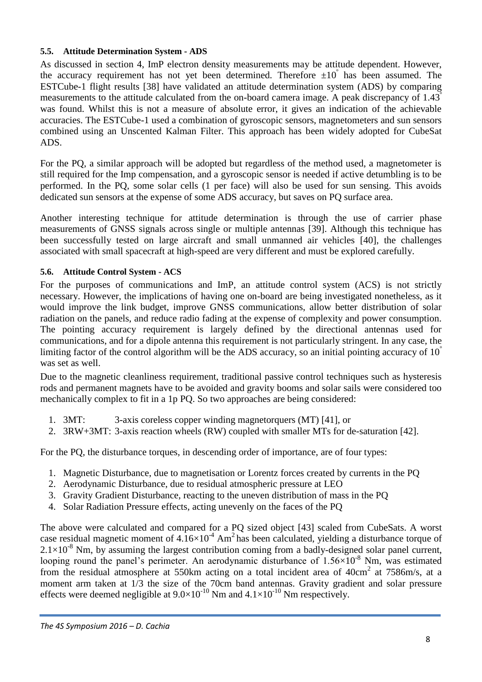#### **5.5. Attitude Determination System - ADS**

As discussed in section [4,](#page-3-1) ImP electron density measurements may be attitude dependent. However, the accuracy requirement has not yet been determined. Therefore  $\pm 10^{\degree}$  has been assumed. The ESTCube-1 flight results [38] have validated an attitude determination system (ADS) by comparing measurements to the attitude calculated from the on-board camera image. A peak discrepancy of 1.43<sup>º</sup> was found. Whilst this is not a measure of absolute error, it gives an indication of the achievable accuracies. The ESTCube-1 used a combination of gyroscopic sensors, magnetometers and sun sensors combined using an Unscented Kalman Filter. This approach has been widely adopted for CubeSat ADS.

For the PQ, a similar approach will be adopted but regardless of the method used, a magnetometer is still required for the Imp compensation, and a gyroscopic sensor is needed if active detumbling is to be performed. In the PQ, some solar cells (1 per face) will also be used for sun sensing. This avoids dedicated sun sensors at the expense of some ADS accuracy, but saves on PQ surface area.

Another interesting technique for attitude determination is through the use of carrier phase measurements of GNSS signals across single or multiple antennas [39]. Although this technique has been successfully tested on large aircraft and small unmanned air vehicles [40], the challenges associated with small spacecraft at high-speed are very different and must be explored carefully.

### **5.6. Attitude Control System - ACS**

For the purposes of communications and ImP, an attitude control system (ACS) is not strictly necessary. However, the implications of having one on-board are being investigated nonetheless, as it would improve the link budget, improve GNSS communications, allow better distribution of solar radiation on the panels, and reduce radio fading at the expense of complexity and power consumption. The pointing accuracy requirement is largely defined by the directional antennas used for communications, and for a dipole antenna this requirement is not particularly stringent. In any case, the limiting factor of the control algorithm will be the ADS accuracy, so an initial pointing accuracy of  $10<sup>°</sup>$ was set as well.

Due to the magnetic cleanliness requirement, traditional passive control techniques such as hysteresis rods and permanent magnets have to be avoided and gravity booms and solar sails were considered too mechanically complex to fit in a 1p PQ. So two approaches are being considered:

- 1. 3MT: 3-axis coreless copper winding magnetorquers (MT) [41], or
- 2. 3RW+3MT: 3-axis reaction wheels (RW) coupled with smaller MTs for de-saturation [42].

For the PQ, the disturbance torques, in descending order of importance, are of four types:

- 1. Magnetic Disturbance, due to magnetisation or Lorentz forces created by currents in the PQ
- 2. Aerodynamic Disturbance, due to residual atmospheric pressure at LEO
- 3. Gravity Gradient Disturbance, reacting to the uneven distribution of mass in the PQ
- 4. Solar Radiation Pressure effects, acting unevenly on the faces of the PQ

The above were calculated and compared for a PQ sized object [43] scaled from CubeSats. A worst case residual magnetic moment of  $4.16\times10^{-4}$  Am<sup>2</sup> has been calculated, yielding a disturbance torque of  $2.1\times10^{-8}$  Nm, by assuming the largest contribution coming from a badly-designed solar panel current, looping round the panel's perimeter. An aerodynamic disturbance of  $1.56\times10^{-8}$  Nm, was estimated from the residual atmosphere at 550km acting on a total incident area of 40cm<sup>2</sup> at 7586m/s, at a moment arm taken at 1/3 the size of the 70cm band antennas. Gravity gradient and solar pressure effects were deemed negligible at  $9.0 \times 10^{-10}$  Nm and  $4.1 \times 10^{-10}$  Nm respectively.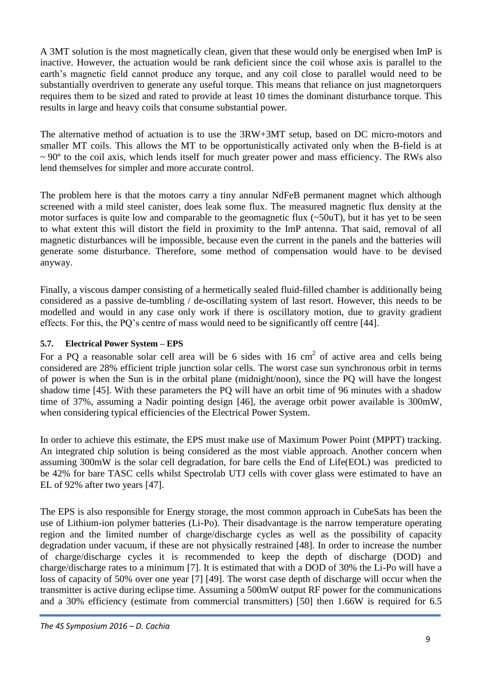A 3MT solution is the most magnetically clean, given that these would only be energised when ImP is inactive. However, the actuation would be rank deficient since the coil whose axis is parallel to the earth's magnetic field cannot produce any torque, and any coil close to parallel would need to be substantially overdriven to generate any useful torque. This means that reliance on just magnetorquers requires them to be sized and rated to provide at least 10 times the dominant disturbance torque. This results in large and heavy coils that consume substantial power.

The alternative method of actuation is to use the 3RW+3MT setup, based on DC micro-motors and smaller MT coils. This allows the MT to be opportunistically activated only when the B-field is at  $\sim$  90 $\degree$  to the coil axis, which lends itself for much greater power and mass efficiency. The RWs also lend themselves for simpler and more accurate control.

The problem here is that the motors carry a tiny annular NdFeB permanent magnet which although screened with a mild steel canister, does leak some flux. The measured magnetic flux density at the motor surfaces is quite low and comparable to the geomagnetic flux  $(\sim 50$ uT), but it has yet to be seen to what extent this will distort the field in proximity to the ImP antenna. That said, removal of all magnetic disturbances will be impossible, because even the current in the panels and the batteries will generate some disturbance. Therefore, some method of compensation would have to be devised anyway.

Finally, a viscous damper consisting of a hermetically sealed fluid-filled chamber is additionally being considered as a passive de-tumbling / de-oscillating system of last resort. However, this needs to be modelled and would in any case only work if there is oscillatory motion, due to gravity gradient effects. For this, the PQ"s centre of mass would need to be significantly off centre [44].

## **5.7. Electrical Power System – EPS**

For a PQ a reasonable solar cell area will be 6 sides with 16 cm<sup>2</sup> of active area and cells being considered are 28% efficient triple junction solar cells. The worst case sun synchronous orbit in terms of power is when the Sun is in the orbital plane (midnight/noon), since the PQ will have the longest shadow time [45]. With these parameters the PQ will have an orbit time of 96 minutes with a shadow time of 37%, assuming a Nadir pointing design [46], the average orbit power available is 300mW, when considering typical efficiencies of the Electrical Power System.

In order to achieve this estimate, the EPS must make use of Maximum Power Point (MPPT) tracking. An integrated chip solution is being considered as the most viable approach. Another concern when assuming 300mW is the solar cell degradation, for bare cells the End of Life(EOL) was predicted to be 42% for bare TASC cells whilst Spectrolab UTJ cells with cover glass were estimated to have an EL of 92% after two years [47].

The EPS is also responsible for Energy storage, the most common approach in CubeSats has been the use of Lithium-ion polymer batteries (Li-Po). Their disadvantage is the narrow temperature operating region and the limited number of charge/discharge cycles as well as the possibility of capacity degradation under vacuum, if these are not physically restrained [48]. In order to increase the number of charge/discharge cycles it is recommended to keep the depth of discharge (DOD) and charge/discharge rates to a minimum [7]. It is estimated that with a DOD of 30% the Li-Po will have a loss of capacity of 50% over one year [7] [49]. The worst case depth of discharge will occur when the transmitter is active during eclipse time. Assuming a 500mW output RF power for the communications and a 30% efficiency (estimate from commercial transmitters) [50] then 1.66W is required for 6.5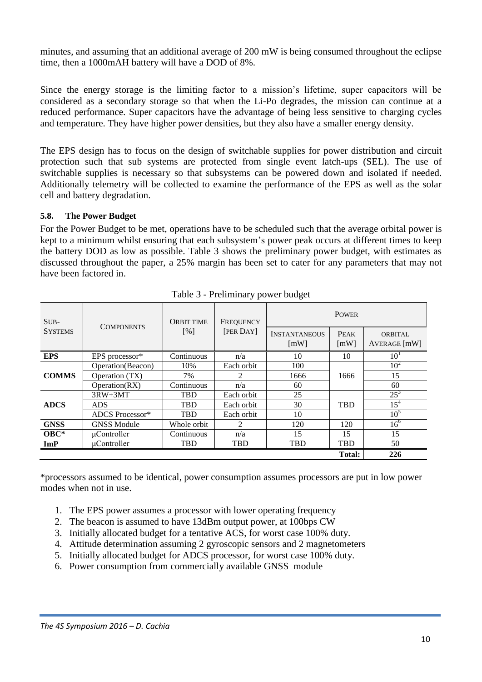minutes, and assuming that an additional average of 200 mW is being consumed throughout the eclipse time, then a 1000mAH battery will have a DOD of 8%.

Since the energy storage is the limiting factor to a mission"s lifetime, super capacitors will be considered as a secondary storage so that when the Li-Po degrades, the mission can continue at a reduced performance. Super capacitors have the advantage of being less sensitive to charging cycles and temperature. They have higher power densities, but they also have a smaller energy density.

The EPS design has to focus on the design of switchable supplies for power distribution and circuit protection such that sub systems are protected from single event latch-ups (SEL). The use of switchable supplies is necessary so that subsystems can be powered down and isolated if needed. Additionally telemetry will be collected to examine the performance of the EPS as well as the solar cell and battery degradation.

### **5.8. The Power Budget**

For the Power Budget to be met, operations have to be scheduled such that the average orbital power is kept to a minimum whilst ensuring that each subsystem"s power peak occurs at different times to keep the battery DOD as low as possible. Table 3 shows the preliminary power budget, with estimates as discussed throughout the paper, a 25% margin has been set to cater for any parameters that may not have been factored in.

| $SUB-$<br><b>SYSTEMS</b> | <b>COMPONENTS</b>  | <b>ORBIT TIME</b> | FREQUENCY  | <b>POWER</b>                               |                                   |                                |  |
|--------------------------|--------------------|-------------------|------------|--------------------------------------------|-----------------------------------|--------------------------------|--|
|                          |                    | [%]               | [PER DAY]  | <b>INSTANTANEOUS</b><br>$\lceil mW \rceil$ | <b>PEAK</b><br>$\lceil mW \rceil$ | <b>ORBITAL</b><br>AVERAGE [mW] |  |
| <b>EPS</b>               | EPS processor*     | Continuous        | n/a        | 10                                         | 10                                | 10 <sup>1</sup>                |  |
| <b>COMMS</b>             | Operation(Beacon)  | 10%               | Each orbit | 100                                        |                                   | 10 <sup>2</sup>                |  |
|                          | Operation (TX)     | 7%                | 2          | 1666                                       | 1666                              | 15                             |  |
|                          | Operation(RX)      | Continuous        | n/a        | 60                                         |                                   | 60                             |  |
| <b>ADCS</b>              | $3RW+3MT$          | <b>TBD</b>        | Each orbit | 25                                         |                                   | $25^3$                         |  |
|                          | <b>ADS</b>         | <b>TBD</b>        | Each orbit | 30                                         | <b>TBD</b>                        | $15^4$                         |  |
|                          | ADCS Processor*    | <b>TBD</b>        | Each orbit | 10                                         |                                   | 10 <sup>5</sup>                |  |
| <b>GNSS</b>              | <b>GNSS Module</b> | Whole orbit       | 2          | 120                                        | 120                               | $16^{6}$                       |  |
| $OBC*$                   | uController        | Continuous        | n/a        | 15                                         | 15                                | 15                             |  |
| ImP                      | μController        | <b>TBD</b>        | <b>TBD</b> | <b>TBD</b>                                 | <b>TBD</b>                        | 50                             |  |
|                          |                    |                   |            |                                            | Total:                            | 226                            |  |

Table 3 - Preliminary power budget

\*processors assumed to be identical, power consumption assumes processors are put in low power modes when not in use.

- 1. The EPS power assumes a processor with lower operating frequency
- 2. The beacon is assumed to have 13dBm output power, at 100bps CW
- 3. Initially allocated budget for a tentative ACS, for worst case 100% duty.
- 4. Attitude determination assuming 2 gyroscopic sensors and 2 magnetometers
- 5. Initially allocated budget for ADCS processor, for worst case 100% duty.
- 6. Power consumption from commercially available GNSS module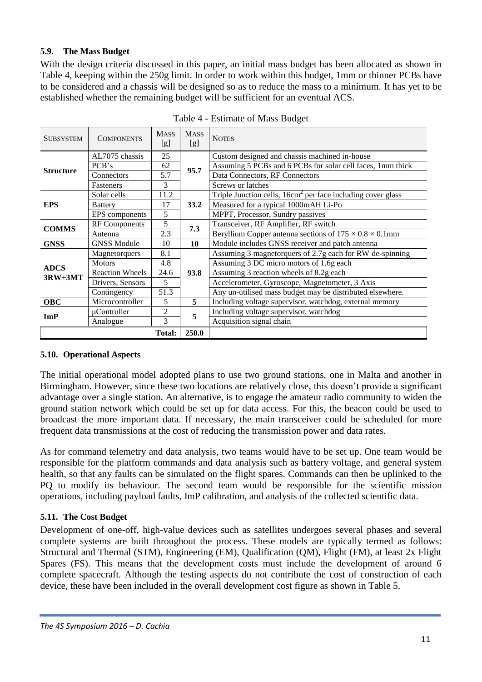## **5.9. The Mass Budget**

With the design criteria discussed in this paper, an initial mass budget has been allocated as shown in Table 4, keeping within the 250g limit. In order to work within this budget, 1mm or thinner PCBs have to be considered and a chassis will be designed so as to reduce the mass to a minimum. It has yet to be established whether the remaining budget will be sufficient for an eventual ACS.

| <b>SUBSYSTEM</b> | <b>COMPONENTS</b>      | <b>MASS</b><br>[g] | <b>MASS</b><br>[g] | <b>NOTES</b>                                                        |
|------------------|------------------------|--------------------|--------------------|---------------------------------------------------------------------|
|                  | AL7075 chassis         | 25                 |                    | Custom designed and chassis machined in-house                       |
| <b>Structure</b> | PCB's                  | 62                 | 95.7               | Assuming 5 PCBs and 6 PCBs for solar cell faces, 1mm thick          |
|                  | Connectors             | 5.7                |                    | Data Connectors, RF Connectors                                      |
|                  | Fasteners              | 3                  |                    | Screws or latches                                                   |
|                  | Solar cells            | 11.2               |                    | Triple Junction cells, $16cm2$ per face including cover glass       |
| <b>EPS</b>       | <b>Battery</b>         | 17                 | 33.2               | Measured for a typical 1000mAH Li-Po                                |
|                  | EPS components         | 5                  |                    | MPPT, Processor, Sundry passives                                    |
| <b>COMMS</b>     | <b>RF</b> Components   | 5                  | 7.3                | Transceiver, RF Amplifier, RF switch                                |
|                  | Antenna                | 2.3                |                    | Beryllium Copper antenna sections of $175 \times 0.8 \times 0.1$ mm |
| <b>GNSS</b>      | <b>GNSS Module</b>     | 10<br>10           |                    | Module includes GNSS receiver and patch antenna                     |
|                  | Magnetorquers          | 8.1                |                    | Assuming 3 magnetorquers of 2.7g each for RW de-spinning            |
| <b>ADCS</b>      | <b>Motors</b>          | 4.8                |                    | Assuming 3 DC micro motors of 1.6g each                             |
| $3RW+3MT$        | <b>Reaction Wheels</b> | 24.6               | 93.8               | Assuming 3 reaction wheels of 8.2g each                             |
|                  | Drivers, Sensors       | 5                  |                    | Accelerometer, Gyroscope, Magnetometer, 3 Axis                      |
|                  | Contingency            | 51.3               |                    | Any un-utilised mass budget may be distributed elsewhere.           |
| <b>OBC</b>       | Microcontroller        | 5                  | 5                  | Including voltage supervisor, watchdog, external memory             |
| ImP              | uController            | $\overline{c}$     | 5                  | Including voltage supervisor, watchdog                              |
|                  | Analogue               | 3                  |                    | Acquisition signal chain                                            |
| <b>Total:</b>    |                        |                    | 250.0              |                                                                     |

Table 4 - Estimate of Mass Budget

### **5.10. Operational Aspects**

The initial operational model adopted plans to use two ground stations, one in Malta and another in Birmingham. However, since these two locations are relatively close, this doesn't provide a significant advantage over a single station. An alternative, is to engage the amateur radio community to widen the ground station network which could be set up for data access. For this, the beacon could be used to broadcast the more important data. If necessary, the main transceiver could be scheduled for more frequent data transmissions at the cost of reducing the transmission power and data rates.

As for command telemetry and data analysis, two teams would have to be set up. One team would be responsible for the platform commands and data analysis such as battery voltage, and general system health, so that any faults can be simulated on the flight spares. Commands can then be uplinked to the PQ to modify its behaviour. The second team would be responsible for the scientific mission operations, including payload faults, ImP calibration, and analysis of the collected scientific data.

# **5.11. The Cost Budget**

Development of one-off, high-value devices such as satellites undergoes several phases and several complete systems are built throughout the process. These models are typically termed as follows: Structural and Thermal (STM), Engineering (EM), Qualification (QM), Flight (FM), at least 2x Flight Spares (FS). This means that the development costs must include the development of around 6 complete spacecraft. Although the testing aspects do not contribute the cost of construction of each device, these have been included in the overall development cost figure as shown in Table 5.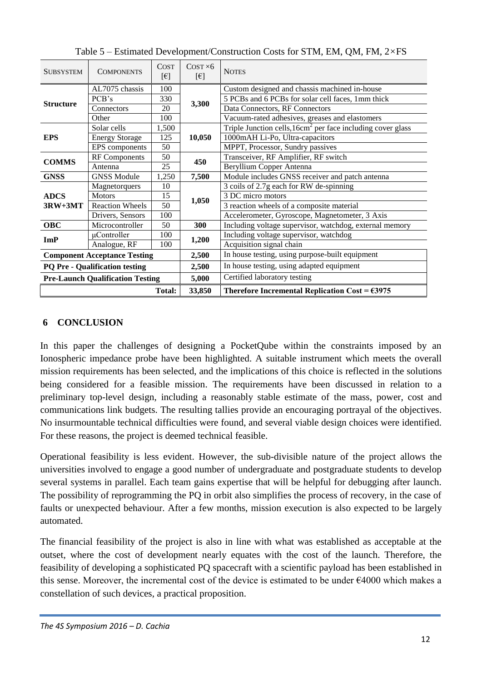| <b>SUBSYSTEM</b>                        | <b>COMPONENTS</b>      | <b>COST</b><br>$[\in]$ | $COST \times 6$<br>$[\epsilon]$ | <b>NOTES</b>                                                  |  |
|-----------------------------------------|------------------------|------------------------|---------------------------------|---------------------------------------------------------------|--|
|                                         | AL7075 chassis         | 100                    |                                 | Custom designed and chassis machined in-house                 |  |
|                                         | PCB's                  | 330                    |                                 | 5 PCBs and 6 PCBs for solar cell faces, 1mm thick             |  |
| <b>Structure</b>                        | Connectors             | 20                     | 3,300                           | Data Connectors, RF Connectors                                |  |
|                                         | Other                  | 100                    |                                 | Vacuum-rated adhesives, greases and elastomers                |  |
|                                         | Solar cells            | 1,500                  |                                 | Triple Junction cells, $16cm2$ per face including cover glass |  |
| <b>EPS</b>                              | <b>Energy Storage</b>  | 125                    | 10,050                          | 1000mAH Li-Po, Ultra-capacitors                               |  |
|                                         | EPS components         | 50                     |                                 | MPPT, Processor, Sundry passives                              |  |
|                                         | <b>RF</b> Components   | 50                     | 450                             | Transceiver, RF Amplifier, RF switch                          |  |
| <b>COMMS</b>                            | Antenna                | 25                     |                                 | Beryllium Copper Antenna                                      |  |
| <b>GNSS</b>                             | <b>GNSS Module</b>     | 1,250                  | 7,500                           | Module includes GNSS receiver and patch antenna               |  |
| <b>ADCS</b><br>$3RW+3MT$                | Magnetorquers          | 10                     |                                 | 3 coils of 2.7g each for RW de-spinning                       |  |
|                                         | <b>Motors</b>          | 15                     | 1,050                           | 3 DC micro motors                                             |  |
|                                         | <b>Reaction Wheels</b> | 50                     |                                 | 3 reaction wheels of a composite material                     |  |
|                                         | Drivers, Sensors       | 100                    |                                 | Accelerometer, Gyroscope, Magnetometer, 3 Axis                |  |
| <b>OBC</b>                              | Microcontroller        | 50                     | 300                             | Including voltage supervisor, watchdog, external memory       |  |
| ImP                                     | uController            | 100                    | 1,200                           | Including voltage supervisor, watchdog                        |  |
|                                         | Analogue, RF           | 100                    |                                 | Acquisition signal chain                                      |  |
| <b>Component Acceptance Testing</b>     |                        |                        | 2,500                           | In house testing, using purpose-built equipment               |  |
| <b>PQ Pre - Qualification testing</b>   |                        |                        | 2,500                           | In house testing, using adapted equipment                     |  |
| <b>Pre-Launch Qualification Testing</b> |                        |                        | 5,000                           | Certified laboratory testing                                  |  |
| Total:                                  |                        |                        | 33,850                          | Therefore Incremental Replication Cost = $\epsilon$ 3975      |  |

Table 5 – Estimated Development/Construction Costs for STM, EM, QM, FM, 2*×*FS

# **6 CONCLUSION**

In this paper the challenges of designing a PocketQube within the constraints imposed by an Ionospheric impedance probe have been highlighted. A suitable instrument which meets the overall mission requirements has been selected, and the implications of this choice is reflected in the solutions being considered for a feasible mission. The requirements have been discussed in relation to a preliminary top-level design, including a reasonably stable estimate of the mass, power, cost and communications link budgets. The resulting tallies provide an encouraging portrayal of the objectives. No insurmountable technical difficulties were found, and several viable design choices were identified. For these reasons, the project is deemed technical feasible.

Operational feasibility is less evident. However, the sub-divisible nature of the project allows the universities involved to engage a good number of undergraduate and postgraduate students to develop several systems in parallel. Each team gains expertise that will be helpful for debugging after launch. The possibility of reprogramming the PQ in orbit also simplifies the process of recovery, in the case of faults or unexpected behaviour. After a few months, mission execution is also expected to be largely automated.

The financial feasibility of the project is also in line with what was established as acceptable at the outset, where the cost of development nearly equates with the cost of the launch. Therefore, the feasibility of developing a sophisticated PQ spacecraft with a scientific payload has been established in this sense. Moreover, the incremental cost of the device is estimated to be under  $\epsilon$ 4000 which makes a constellation of such devices, a practical proposition.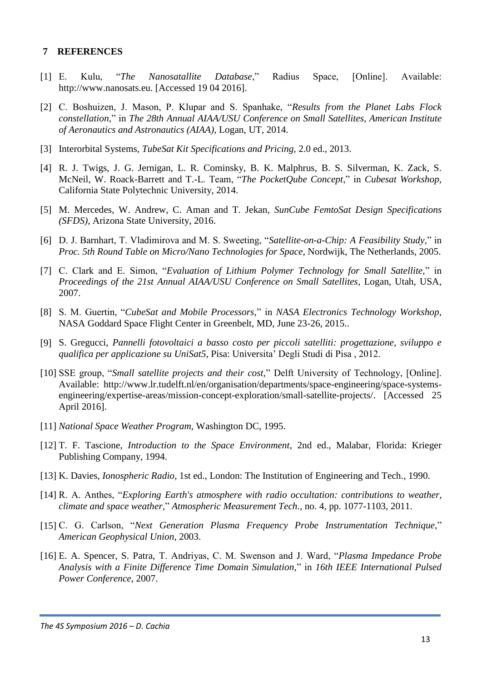#### **7 REFERENCES**

- [1] E. Kulu, "*The Nanosatallite Database*," Radius Space, [Online]. Available: http://www.nanosats.eu. [Accessed 19 04 2016].
- [2] C. Boshuizen, J. Mason, P. Klupar and S. Spanhake, "*Results from the Planet Labs Flock constellation*," in *The 28th Annual AIAA/USU Conference on Small Satellites, American Institute of Aeronautics and Astronautics (AIAA)*, Logan, UT, 2014.
- [3] Interorbital Systems, *TubeSat Kit Specifications and Pricing,* 2.0 ed., 2013.
- [4] R. J. Twigs, J. G. Jernigan, L. R. Cominsky, B. K. Malphrus, B. S. Silverman, K. Zack, S. McNeil, W. Roack-Barrett and T.-L. Team, "*The PocketQube Concept*," in *Cubesat Workshop*, California State Polytechnic University, 2014.
- [5] M. Mercedes, W. Andrew, C. Aman and T. Jekan, *SunCube FemtoSat Design Specifications (SFDS),* Arizona State University, 2016.
- [6] D. J. Barnhart, T. Vladimirova and M. S. Sweeting, "*Satellite-on-a-Chip: A Feasibility Study,*" in *Proc. 5th Round Table on Micro/Nano Technologies for Space*, Nordwijk, The Netherlands, 2005.
- [7] C. Clark and E. Simon, "*Evaluation of Lithium Polymer Technology for Small Satellite,*" in *Proceedings of the 21st Annual AIAA/USU Conference on Small Satellites*, Logan, Utah, USA, 2007.
- [8] S. M. Guertin, "*CubeSat and Mobile Processors,*" in *NASA Electronics Technology Workshop*, NASA Goddard Space Flight Center in Greenbelt, MD, June 23-26, 2015..
- [9] S. Gregucci, *Pannelli fotovoltaici a basso costo per piccoli satelliti: progettazione, sviluppo e qualifica per applicazione su UniSat5,* Pisa: Universita" Degli Studi di Pisa , 2012.
- [10] SSE group, "*Small satellite projects and their cost,*" Delft University of Technology, [Online]. Available: http://www.lr.tudelft.nl/en/organisation/departments/space-engineering/space-systemsengineering/expertise-areas/mission-concept-exploration/small-satellite-projects/. [Accessed 25 April 2016].
- [11] *National Space Weather Program,* Washington DC, 1995.
- [12] T. F. Tascione, *Introduction to the Space Environment*, 2nd ed., Malabar, Florida: Krieger Publishing Company, 1994.
- [13] K. Davies, *Ionospheric Radio*, 1st ed., London: The Institution of Engineering and Tech., 1990.
- [14] R. A. Anthes, "*Exploring Earth's atmosphere with radio occultation: contributions to weather, climate and space weather,*" *Atmospheric Measurement Tech.,* no. 4, pp. 1077-1103, 2011.
- [15] C. G. Carlson, "*Next Generation Plasma Frequency Probe Instrumentation Technique,*" *American Geophysical Union,* 2003.
- [16] E. A. Spencer, S. Patra, T. Andriyas, C. M. Swenson and J. Ward, "*Plasma Impedance Probe Analysis with a Finite Difference Time Domain Simulation,*" in *16th IEEE International Pulsed Power Conference*, 2007.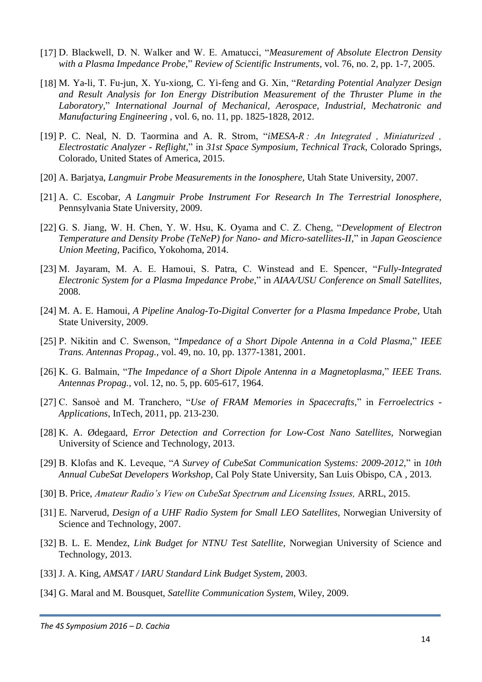- [17] D. Blackwell, D. N. Walker and W. E. Amatucci, "*Measurement of Absolute Electron Density with a Plasma Impedance Probe,*" *Review of Scientific Instruments,* vol. 76, no. 2, pp. 1-7, 2005.
- [18] M. Ya-li, T. Fu-jun, X. Yu-xiong, C. Yi-feng and G. Xin, "*Retarding Potential Analyzer Design and Result Analysis for Ion Energy Distribution Measurement of the Thruster Plume in the Laboratory,*" *International Journal of Mechanical, Aerospace, Industrial, Mechatronic and Manufacturing Engineering ,* vol. 6, no. 11, pp. 1825-1828, 2012.
- [19] P. C. Neal, N. D. Taormina and A. R. Strom, "*iMESA-R : An Integrated , Miniaturized , Electrostatic Analyzer - Reflight,*" in *31st Space Symposium, Technical Track*, Colorado Springs, Colorado, United States of America, 2015.
- [20] A. Barjatya, *Langmuir Probe Measurements in the Ionosphere,* Utah State University, 2007.
- [21] A. C. Escobar, *A Langmuir Probe Instrument For Research In The Terrestrial Ionosphere,*  Pennsylvania State University, 2009.
- [22] G. S. Jiang, W. H. Chen, Y. W. Hsu, K. Oyama and C. Z. Cheng, "*Development of Electron Temperature and Density Probe (TeNeP) for Nano- and Micro-satellites-II,*" in *Japan Geoscience Union Meeting*, Pacifico, Yokohoma, 2014.
- [23] M. Jayaram, M. A. E. Hamoui, S. Patra, C. Winstead and E. Spencer, "*Fully-Integrated Electronic System for a Plasma Impedance Probe,*" in *AIAA/USU Conference on Small Satellites*, 2008.
- [24] M. A. E. Hamoui, *A Pipeline Analog-To-Digital Converter for a Plasma Impedance Probe,* Utah State University, 2009.
- [25] P. Nikitin and C. Swenson, "*Impedance of a Short Dipole Antenna in a Cold Plasma,*" *IEEE Trans. Antennas Propag.,* vol. 49, no. 10, pp. 1377-1381, 2001.
- [26] K. G. Balmain, "*The Impedance of a Short Dipole Antenna in a Magnetoplasma,*" *IEEE Trans. Antennas Propag.,* vol. 12, no. 5, pp. 605-617, 1964.
- [27] C. Sansoè and M. Tranchero, "*Use of FRAM Memories in Spacecrafts,*" in *Ferroelectrics - Applications*, InTech, 2011, pp. 213-230.
- [28] K. A. Ødegaard, *Error Detection and Correction for Low-Cost Nano Satellites,* Norwegian University of Science and Technology, 2013.
- [29] B. Klofas and K. Leveque, "*A Survey of CubeSat Communication Systems: 2009-2012,*" in *10th Annual CubeSat Developers Workshop*, Cal Poly State University, San Luis Obispo, CA , 2013.
- [30] B. Price, *Amateur Radio's View on CubeSat Spectrum and Licensing Issues, ARRL, 2015.*
- [31] E. Narverud, *Design of a UHF Radio System for Small LEO Satellites,* Norwegian University of Science and Technology, 2007.
- [32] B. L. E. Mendez, *Link Budget for NTNU Test Satellite,* Norwegian University of Science and Technology, 2013.
- [33] J. A. King, *AMSAT / IARU Standard Link Budget System,* 2003.
- [34] G. Maral and M. Bousquet, *Satellite Communication System,* Wiley, 2009.

*The 4S Symposium 2016 – D. Cachia*